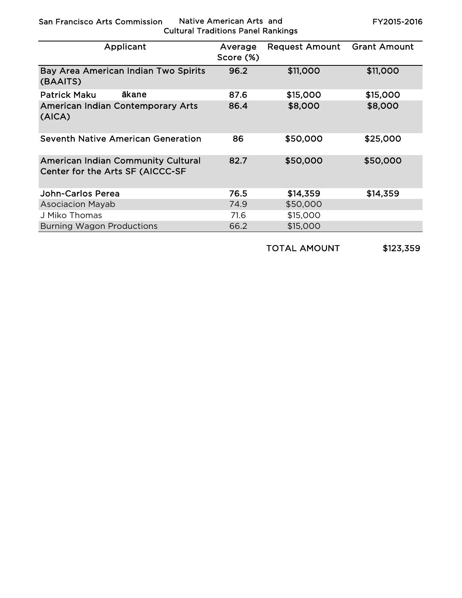San Francisco Arts Commission Native American Arts and

Cultural Traditions Panel Rankings

FY2015-2016

| Applicant                                                                     | Average<br>Score (%) | <b>Request Amount</b> | <b>Grant Amount</b> |
|-------------------------------------------------------------------------------|----------------------|-----------------------|---------------------|
| Bay Area American Indian Two Spirits<br>(BAAITS)                              | 96.2                 | \$11,000              | \$11,000            |
| ākane<br>Patrick Maku                                                         | 87.6                 | \$15,000              | \$15,000            |
| <b>American Indian Contemporary Arts</b><br>(AICA)                            | 86.4                 | \$8,000               | \$8,000             |
| Seventh Native American Generation                                            | 86                   | \$50,000              | \$25,000            |
| <b>American Indian Community Cultural</b><br>Center for the Arts SF (AICCC-SF | 82.7                 | \$50,000              | \$50,000            |
| John-Carlos Perea                                                             | 76.5                 | \$14,359              | \$14,359            |
| <b>Asociacion Mayab</b>                                                       | 74.9                 | \$50,000              |                     |
| J Miko Thomas                                                                 | 71.6                 | \$15,000              |                     |
| <b>Burning Wagon Productions</b>                                              | 66.2                 | \$15,000              |                     |

TOTAL AMOUNT \$123,359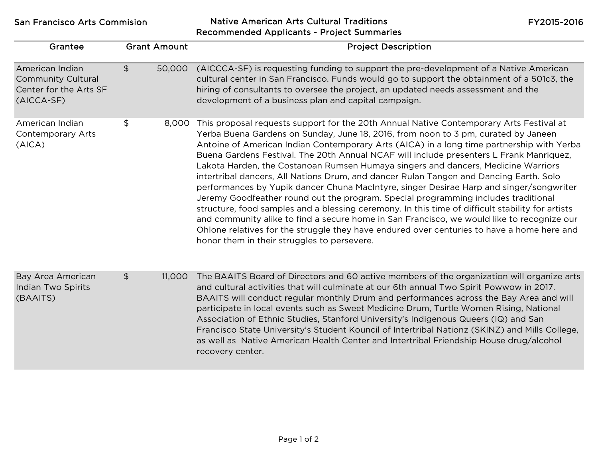San Francisco Arts Commision Native American Arts Cultural Traditions Recommended Applicants - Project Summaries

FY2015-2016

| Grantee                                                                              | <b>Grant Amount</b>      | <b>Project Description</b>                                                                                                                                                                                                                                                                                                                                                                                                                                                                                                                                                                                                                                                                                                                                                                                                                                                                                                                                                                                                                                                           |
|--------------------------------------------------------------------------------------|--------------------------|--------------------------------------------------------------------------------------------------------------------------------------------------------------------------------------------------------------------------------------------------------------------------------------------------------------------------------------------------------------------------------------------------------------------------------------------------------------------------------------------------------------------------------------------------------------------------------------------------------------------------------------------------------------------------------------------------------------------------------------------------------------------------------------------------------------------------------------------------------------------------------------------------------------------------------------------------------------------------------------------------------------------------------------------------------------------------------------|
| American Indian<br><b>Community Cultural</b><br>Center for the Arts SF<br>(AICCA-SF) | $\mathfrak{S}$<br>50,000 | (AICCCA-SF) is requesting funding to support the pre-development of a Native American<br>cultural center in San Francisco. Funds would go to support the obtainment of a 501c3, the<br>hiring of consultants to oversee the project, an updated needs assessment and the<br>development of a business plan and capital campaign.                                                                                                                                                                                                                                                                                                                                                                                                                                                                                                                                                                                                                                                                                                                                                     |
| American Indian<br><b>Contemporary Arts</b><br>(AICA)                                | \$<br>8,000              | This proposal requests support for the 20th Annual Native Contemporary Arts Festival at<br>Yerba Buena Gardens on Sunday, June 18, 2016, from noon to 3 pm, curated by Janeen<br>Antoine of American Indian Contemporary Arts (AICA) in a long time partnership with Yerba<br>Buena Gardens Festival. The 20th Annual NCAF will include presenters L Frank Manriquez,<br>Lakota Harden, the Costanoan Rumsen Humaya singers and dancers, Medicine Warriors<br>intertribal dancers, All Nations Drum, and dancer Rulan Tangen and Dancing Earth. Solo<br>performances by Yupik dancer Chuna MacIntyre, singer Desirae Harp and singer/songwriter<br>Jeremy Goodfeather round out the program. Special programming includes traditional<br>structure, food samples and a blessing ceremony. In this time of difficult stability for artists<br>and community alike to find a secure home in San Francisco, we would like to recognize our<br>Ohlone relatives for the struggle they have endured over centuries to have a home here and<br>honor them in their struggles to persevere. |
| Bay Area American<br>Indian Two Spirits<br>(BAAITS)                                  | $\mathfrak{P}$<br>11,000 | The BAAITS Board of Directors and 60 active members of the organization will organize arts<br>and cultural activities that will culminate at our 6th annual Two Spirit Powwow in 2017.<br>BAAITS will conduct regular monthly Drum and performances across the Bay Area and will<br>participate in local events such as Sweet Medicine Drum, Turtle Women Rising, National<br>Association of Ethnic Studies, Stanford University's Indigenous Queers (IQ) and San<br>Francisco State University's Student Kouncil of Intertribal Nationz (SKINZ) and Mills College,<br>as well as Native American Health Center and Intertribal Friendship House drug/alcohol<br>recovery center.                                                                                                                                                                                                                                                                                                                                                                                                    |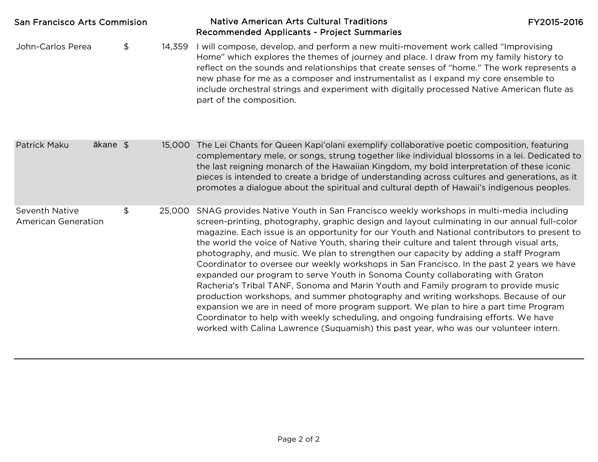| <b>San Francisco Arts Commision</b>                 |          |    | <b>Native American Arts Cultural Traditions</b><br>Recommended Applicants - Project Summaries | FY2015-2016                                                                                                                                                                                                                                                                                                                                                                                                                                                                                                                                                                                                                                                                                                                                                                                                                                                                                                                                                                                                                                                                                                      |  |
|-----------------------------------------------------|----------|----|-----------------------------------------------------------------------------------------------|------------------------------------------------------------------------------------------------------------------------------------------------------------------------------------------------------------------------------------------------------------------------------------------------------------------------------------------------------------------------------------------------------------------------------------------------------------------------------------------------------------------------------------------------------------------------------------------------------------------------------------------------------------------------------------------------------------------------------------------------------------------------------------------------------------------------------------------------------------------------------------------------------------------------------------------------------------------------------------------------------------------------------------------------------------------------------------------------------------------|--|
| John-Carlos Perea                                   |          | \$ | 14,359                                                                                        | I will compose, develop, and perform a new multi-movement work called "Improvising<br>Home" which explores the themes of journey and place. I draw from my family history to<br>reflect on the sounds and relationships that create senses of "home." The work represents a<br>new phase for me as a composer and instrumentalist as I expand my core ensemble to<br>include orchestral strings and experiment with digitally processed Native American flute as<br>part of the composition.                                                                                                                                                                                                                                                                                                                                                                                                                                                                                                                                                                                                                     |  |
| Patrick Maku                                        | ākane \$ |    |                                                                                               | 15,000 The Lei Chants for Queen Kapi'olani exemplify collaborative poetic composition, featuring<br>complementary mele, or songs, strung together like individual blossoms in a lei. Dedicated to<br>the last reigning monarch of the Hawaiian Kingdom, my bold interpretation of these iconic<br>pieces is intended to create a bridge of understanding across cultures and generations, as it<br>promotes a dialogue about the spiritual and cultural depth of Hawaii's indigenous peoples.                                                                                                                                                                                                                                                                                                                                                                                                                                                                                                                                                                                                                    |  |
| <b>Seventh Native</b><br><b>American Generation</b> |          | \$ | 25,000                                                                                        | SNAG provides Native Youth in San Francisco weekly workshops in multi-media including<br>screen-printing, photography, graphic design and layout culminating in our annual full-color<br>magazine. Each issue is an opportunity for our Youth and National contributors to present to<br>the world the voice of Native Youth, sharing their culture and talent through visual arts,<br>photography, and music. We plan to strengthen our capacity by adding a staff Program<br>Coordinator to oversee our weekly workshops in San Francisco. In the past 2 years we have<br>expanded our program to serve Youth in Sonoma County collaborating with Graton<br>Racheria's Tribal TANF, Sonoma and Marin Youth and Family program to provide music<br>production workshops, and summer photography and writing workshops. Because of our<br>expansion we are in need of more program support. We plan to hire a part time Program<br>Coordinator to help with weekly scheduling, and ongoing fundraising efforts. We have<br>worked with Calina Lawrence (Suquamish) this past year, who was our volunteer intern. |  |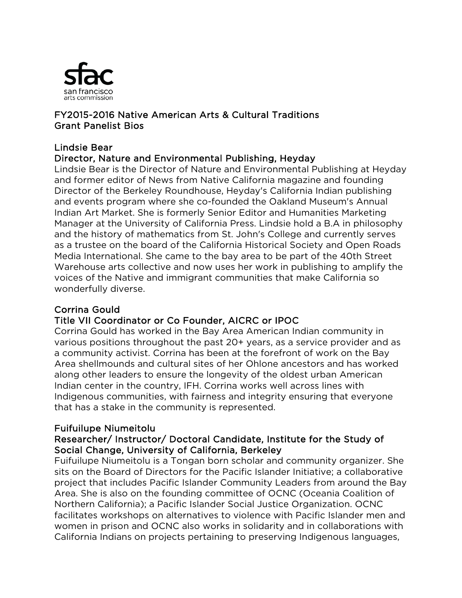

## FY2015-2016 Native American Arts & Cultural Traditions Grant Panelist Bios

#### Lindsie Bear Director, Nature and Environmental Publishing, Heyday

Lindsie Bear is the Director of Nature and Environmental Publishing at Heyday and former editor of News from Native California magazine and founding Director of the Berkeley Roundhouse, Heyday's California Indian publishing and events program where she co-founded the Oakland Museum's Annual Indian Art Market. She is formerly Senior Editor and Humanities Marketing Manager at the University of California Press. Lindsie hold a B.A in philosophy and the history of mathematics from St. John's College and currently serves as a trustee on the board of the California Historical Society and Open Roads Media International. She came to the bay area to be part of the 40th Street Warehouse arts collective and now uses her work in publishing to amplify the voices of the Native and immigrant communities that make California so wonderfully diverse.

# Corrina Gould

# Title VII Coordinator or Co Founder, AICRC or IPOC

Corrina Gould has worked in the Bay Area American Indian community in various positions throughout the past 20+ years, as a service provider and as a community activist. Corrina has been at the forefront of work on the Bay Area shellmounds and cultural sites of her Ohlone ancestors and has worked along other leaders to ensure the longevity of the oldest urban American Indian center in the country, IFH. Corrina works well across lines with Indigenous communities, with fairness and integrity ensuring that everyone that has a stake in the community is represented.

## Fuifuilupe Niumeitolu

## Researcher/ Instructor/ Doctoral Candidate, Institute for the Study of Social Change, University of California, Berkeley

Fuifuilupe Niumeitolu is a Tongan born scholar and community organizer. She sits on the Board of Directors for the Pacific Islander Initiative; a collaborative project that includes Pacific Islander Community Leaders from around the Bay Area. She is also on the founding committee of OCNC (Oceania Coalition of Northern California); a Pacific Islander Social Justice Organization. OCNC facilitates workshops on alternatives to violence with Pacific Islander men and women in prison and OCNC also works in solidarity and in collaborations with California Indians on projects pertaining to preserving Indigenous languages,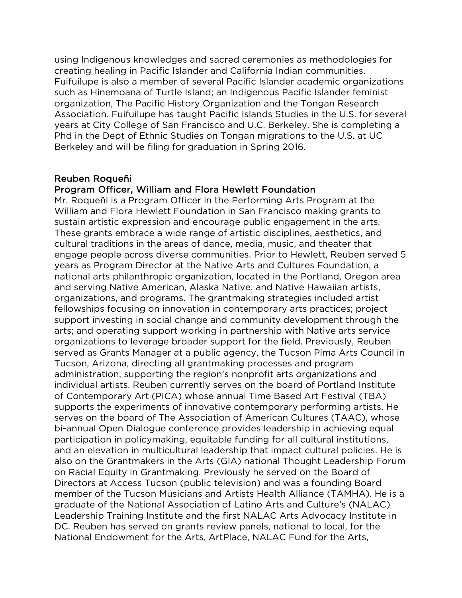using Indigenous knowledges and sacred ceremonies as methodologies for creating healing in Pacific Islander and California Indian communities. Fuifuilupe is also a member of several Pacific Islander academic organizations such as Hinemoana of Turtle Island; an Indigenous Pacific Islander feminist organization, The Pacific History Organization and the Tongan Research Association. Fuifuilupe has taught Pacific Islands Studies in the U.S. for several years at City College of San Francisco and U.C. Berkeley. She is completing a Phd in the Dept of Ethnic Studies on Tongan migrations to the U.S. at UC Berkeley and will be filing for graduation in Spring 2016.

#### Reuben Roqueñi

#### Program Officer, William and Flora Hewlett Foundation

Mr. Roqueñi is a Program Officer in the Performing Arts Program at the William and Flora Hewlett Foundation in San Francisco making grants to sustain artistic expression and encourage public engagement in the arts. These grants embrace a wide range of artistic disciplines, aesthetics, and cultural traditions in the areas of dance, media, music, and theater that engage people across diverse communities. Prior to Hewlett, Reuben served 5 years as Program Director at the Native Arts and Cultures Foundation, a national arts philanthropic organization, located in the Portland, Oregon area and serving Native American, Alaska Native, and Native Hawaiian artists, organizations, and programs. The grantmaking strategies included artist fellowships focusing on innovation in contemporary arts practices; project support investing in social change and community development through the arts; and operating support working in partnership with Native arts service organizations to leverage broader support for the field. Previously, Reuben served as Grants Manager at a public agency, the Tucson Pima Arts Council in Tucson, Arizona, directing all grantmaking processes and program administration, supporting the region's nonprofit arts organizations and individual artists. Reuben currently serves on the board of Portland Institute of Contemporary Art (PICA) whose annual Time Based Art Festival (TBA) supports the experiments of innovative contemporary performing artists. He serves on the board of The Association of American Cultures (TAAC), whose bi-annual Open Dialogue conference provides leadership in achieving equal participation in policymaking, equitable funding for all cultural institutions, and an elevation in multicultural leadership that impact cultural policies. He is also on the Grantmakers in the Arts (GIA) national Thought Leadership Forum on Racial Equity in Grantmaking. Previously he served on the Board of Directors at Access Tucson (public television) and was a founding Board member of the Tucson Musicians and Artists Health Alliance (TAMHA). He is a graduate of the National Association of Latino Arts and Culture's (NALAC) Leadership Training Institute and the first NALAC Arts Advocacy Institute in DC. Reuben has served on grants review panels, national to local, for the National Endowment for the Arts, ArtPlace, NALAC Fund for the Arts,